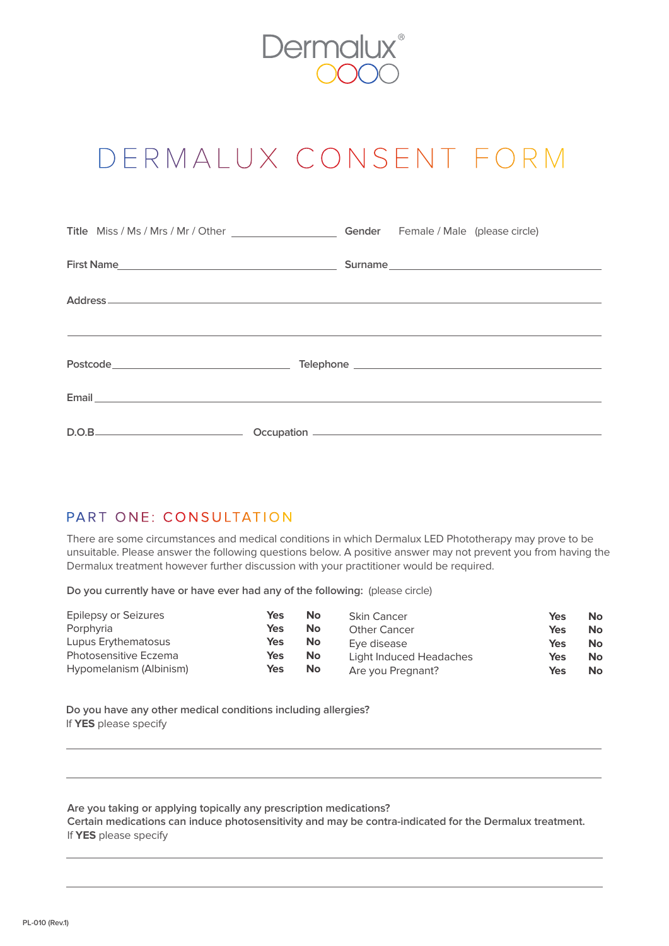

# DERMALUX CONSENT FORM

|                                                                                                                | Gender Female / Male (please circle) |
|----------------------------------------------------------------------------------------------------------------|--------------------------------------|
|                                                                                                                | Surname                              |
|                                                                                                                |                                      |
|                                                                                                                |                                      |
|                                                                                                                |                                      |
| Email <u>Communication of the communication of the communication of the communication of the communication</u> |                                      |
|                                                                                                                |                                      |

### PART ONE: CONSULTATION

There are some circumstances and medical conditions in which Dermalux LED Phototherapy may prove to be unsuitable. Please answer the following questions below. A positive answer may not prevent you from having the Dermalux treatment however further discussion with your practitioner would be required.

**Do you currently have or have ever had any of the following:** (please circle)

| Epilepsy or Seizures<br>Porphyria<br>Lupus Erythematosus | Yes<br><b>Yes</b><br><b>Yes</b> | No<br>No<br><b>No</b> | <b>Skin Cancer</b><br><b>Other Cancer</b><br>Eye disease | Yes<br><b>Yes</b><br><b>Yes</b> | <b>No</b><br><b>No</b><br><b>No</b> |
|----------------------------------------------------------|---------------------------------|-----------------------|----------------------------------------------------------|---------------------------------|-------------------------------------|
| <b>Photosensitive Eczema</b>                             | Yes                             | <b>No</b>             | Light Induced Headaches                                  | Yes                             | <b>No</b>                           |
| Hypomelanism (Albinism)                                  | Yes                             | <b>No</b>             | Are you Pregnant?                                        | Yes                             | <b>No</b>                           |

**Do you have any other medical conditions including allergies?**  If **YES** please specify

**Are you taking or applying topically any prescription medications? Certain medications can induce photosensitivity and may be contra-indicated for the Dermalux treatment.**  If **YES** please specify